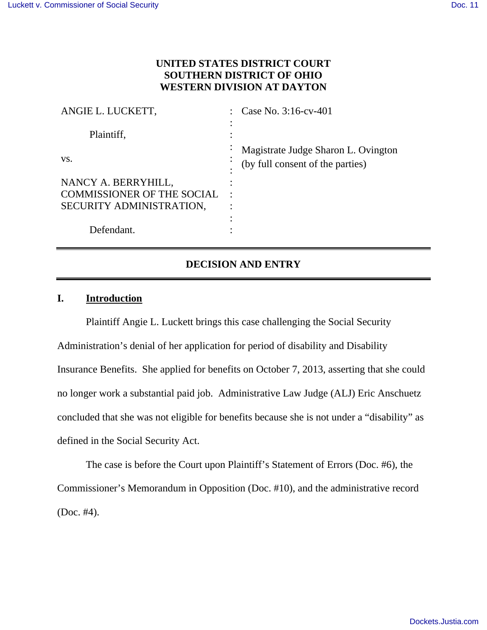# **UNITED STATES DISTRICT COURT SOUTHERN DISTRICT OF OHIO WESTERN DIVISION AT DAYTON**

| ANGIE L. LUCKETT,                 |   | Case No. 3:16-cv-401                                                    |
|-----------------------------------|---|-------------------------------------------------------------------------|
| Plaintiff,                        |   |                                                                         |
| VS.                               | ٠ | Magistrate Judge Sharon L. Ovington<br>(by full consent of the parties) |
| NANCY A. BERRYHILL,               |   |                                                                         |
| <b>COMMISSIONER OF THE SOCIAL</b> |   |                                                                         |
| SECURITY ADMINISTRATION,          |   |                                                                         |
|                                   |   |                                                                         |
| Defendant.                        |   |                                                                         |

# **DECISION AND ENTRY**

## **I. Introduction**

Plaintiff Angie L. Luckett brings this case challenging the Social Security Administration's denial of her application for period of disability and Disability Insurance Benefits. She applied for benefits on October 7, 2013, asserting that she could no longer work a substantial paid job. Administrative Law Judge (ALJ) Eric Anschuetz concluded that she was not eligible for benefits because she is not under a "disability" as defined in the Social Security Act.

The case is before the Court upon Plaintiff's Statement of Errors (Doc. #6), the Commissioner's Memorandum in Opposition (Doc. #10), and the administrative record (Doc. #4).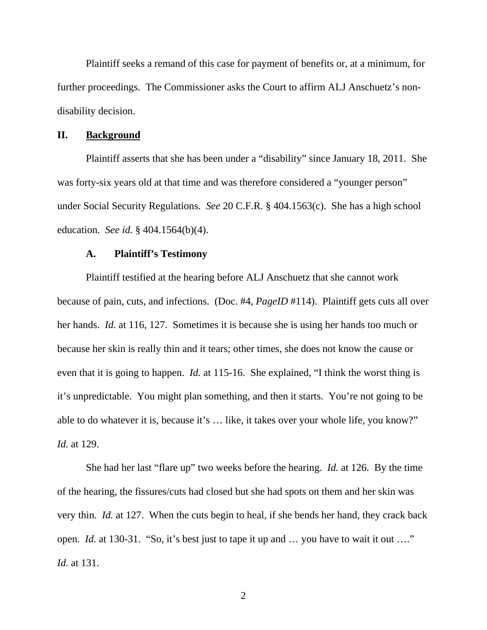Plaintiff seeks a remand of this case for payment of benefits or, at a minimum, for further proceedings. The Commissioner asks the Court to affirm ALJ Anschuetz's nondisability decision.

#### **II. Background**

Plaintiff asserts that she has been under a "disability" since January 18, 2011. She was forty-six years old at that time and was therefore considered a "younger person" under Social Security Regulations. *See* 20 C.F.R. § 404.1563(c). She has a high school education. *See id.* § 404.1564(b)(4).

### **A. Plaintiff's Testimony**

Plaintiff testified at the hearing before ALJ Anschuetz that she cannot work because of pain, cuts, and infections. (Doc. #4, *PageID* #114). Plaintiff gets cuts all over her hands. *Id.* at 116, 127. Sometimes it is because she is using her hands too much or because her skin is really thin and it tears; other times, she does not know the cause or even that it is going to happen. *Id.* at 115-16. She explained, "I think the worst thing is it's unpredictable. You might plan something, and then it starts. You're not going to be able to do whatever it is, because it's … like, it takes over your whole life, you know?" *Id.* at 129.

She had her last "flare up" two weeks before the hearing. *Id.* at 126. By the time of the hearing, the fissures/cuts had closed but she had spots on them and her skin was very thin. *Id.* at 127. When the cuts begin to heal, if she bends her hand, they crack back open. *Id.* at 130-31. "So, it's best just to tape it up and … you have to wait it out …." *Id.* at 131.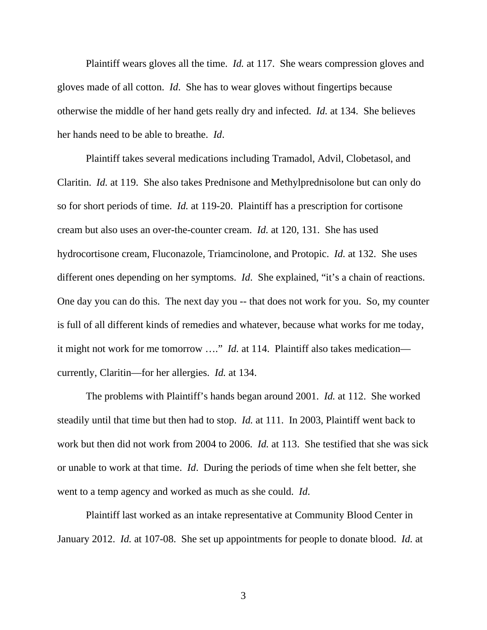Plaintiff wears gloves all the time. *Id.* at 117. She wears compression gloves and gloves made of all cotton. *Id*. She has to wear gloves without fingertips because otherwise the middle of her hand gets really dry and infected. *Id.* at 134. She believes her hands need to be able to breathe. *Id*.

Plaintiff takes several medications including Tramadol, Advil, Clobetasol, and Claritin. *Id.* at 119. She also takes Prednisone and Methylprednisolone but can only do so for short periods of time. *Id.* at 119-20. Plaintiff has a prescription for cortisone cream but also uses an over-the-counter cream. *Id.* at 120, 131. She has used hydrocortisone cream, Fluconazole, Triamcinolone, and Protopic. *Id.* at 132. She uses different ones depending on her symptoms. *Id*. She explained, "it's a chain of reactions. One day you can do this. The next day you -- that does not work for you. So, my counter is full of all different kinds of remedies and whatever, because what works for me today, it might not work for me tomorrow …." *Id.* at 114. Plaintiff also takes medication currently, Claritin—for her allergies. *Id.* at 134.

The problems with Plaintiff's hands began around 2001. *Id.* at 112. She worked steadily until that time but then had to stop. *Id.* at 111. In 2003, Plaintiff went back to work but then did not work from 2004 to 2006. *Id.* at 113. She testified that she was sick or unable to work at that time. *Id*. During the periods of time when she felt better, she went to a temp agency and worked as much as she could. *Id*.

Plaintiff last worked as an intake representative at Community Blood Center in January 2012. *Id.* at 107-08. She set up appointments for people to donate blood. *Id.* at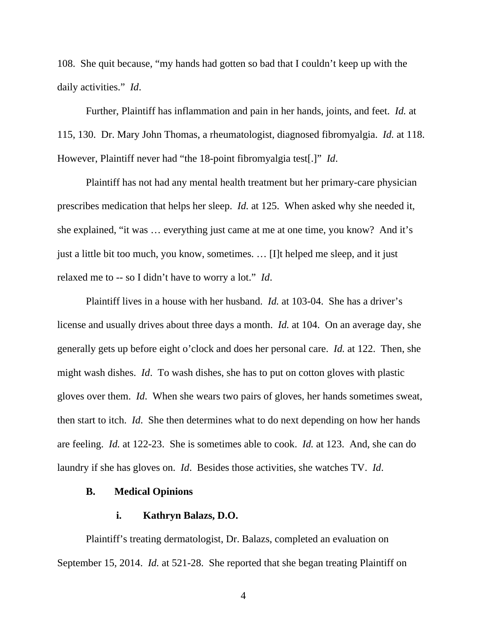108. She quit because, "my hands had gotten so bad that I couldn't keep up with the daily activities." *Id*.

Further, Plaintiff has inflammation and pain in her hands, joints, and feet. *Id.* at 115, 130. Dr. Mary John Thomas, a rheumatologist, diagnosed fibromyalgia. *Id.* at 118. However, Plaintiff never had "the 18-point fibromyalgia test[.]" *Id*.

Plaintiff has not had any mental health treatment but her primary-care physician prescribes medication that helps her sleep. *Id.* at 125. When asked why she needed it, she explained, "it was … everything just came at me at one time, you know? And it's just a little bit too much, you know, sometimes. … [I]t helped me sleep, and it just relaxed me to -- so I didn't have to worry a lot." *Id*.

Plaintiff lives in a house with her husband. *Id.* at 103-04. She has a driver's license and usually drives about three days a month. *Id.* at 104. On an average day, she generally gets up before eight o'clock and does her personal care. *Id.* at 122. Then, she might wash dishes. *Id*. To wash dishes, she has to put on cotton gloves with plastic gloves over them. *Id*. When she wears two pairs of gloves, her hands sometimes sweat, then start to itch. *Id*. She then determines what to do next depending on how her hands are feeling. *Id.* at 122-23. She is sometimes able to cook. *Id.* at 123. And, she can do laundry if she has gloves on. *Id*. Besides those activities, she watches TV. *Id*.

### **B. Medical Opinions**

### **i. Kathryn Balazs, D.O.**

Plaintiff's treating dermatologist, Dr. Balazs, completed an evaluation on September 15, 2014. *Id.* at 521-28. She reported that she began treating Plaintiff on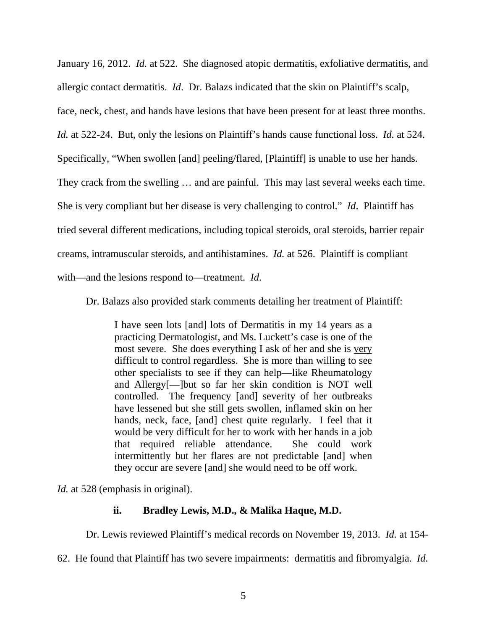January 16, 2012. *Id.* at 522. She diagnosed atopic dermatitis, exfoliative dermatitis, and allergic contact dermatitis. *Id*. Dr. Balazs indicated that the skin on Plaintiff's scalp, face, neck, chest, and hands have lesions that have been present for at least three months. *Id.* at 522-24. But, only the lesions on Plaintiff's hands cause functional loss. *Id.* at 524. Specifically, "When swollen [and] peeling/flared, [Plaintiff] is unable to use her hands. They crack from the swelling … and are painful. This may last several weeks each time. She is very compliant but her disease is very challenging to control." *Id*. Plaintiff has tried several different medications, including topical steroids, oral steroids, barrier repair creams, intramuscular steroids, and antihistamines. *Id.* at 526. Plaintiff is compliant with—and the lesions respond to—treatment. *Id*.

Dr. Balazs also provided stark comments detailing her treatment of Plaintiff:

I have seen lots [and] lots of Dermatitis in my 14 years as a practicing Dermatologist, and Ms. Luckett's case is one of the most severe. She does everything I ask of her and she is very difficult to control regardless. She is more than willing to see other specialists to see if they can help—like Rheumatology and Allergy[—]but so far her skin condition is NOT well controlled. The frequency [and] severity of her outbreaks have lessened but she still gets swollen, inflamed skin on her hands, neck, face, [and] chest quite regularly. I feel that it would be very difficult for her to work with her hands in a job that required reliable attendance. She could work intermittently but her flares are not predictable [and] when they occur are severe [and] she would need to be off work.

*Id.* at 528 (emphasis in original).

## **ii. Bradley Lewis, M.D., & Malika Haque, M.D.**

Dr. Lewis reviewed Plaintiff's medical records on November 19, 2013. *Id.* at 154-

62. He found that Plaintiff has two severe impairments: dermatitis and fibromyalgia. *Id.*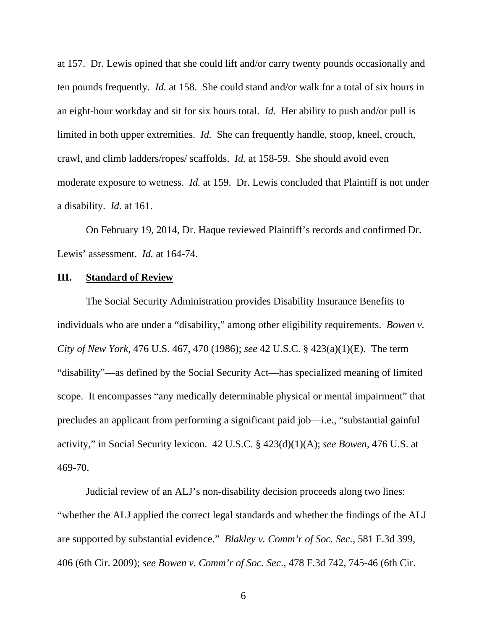at 157. Dr. Lewis opined that she could lift and/or carry twenty pounds occasionally and ten pounds frequently. *Id.* at 158. She could stand and/or walk for a total of six hours in an eight-hour workday and sit for six hours total. *Id.* Her ability to push and/or pull is limited in both upper extremities. *Id.* She can frequently handle, stoop, kneel, crouch, crawl, and climb ladders/ropes/ scaffolds. *Id.* at 158-59. She should avoid even moderate exposure to wetness. *Id.* at 159. Dr. Lewis concluded that Plaintiff is not under a disability. *Id.* at 161.

 On February 19, 2014, Dr. Haque reviewed Plaintiff's records and confirmed Dr. Lewis' assessment. *Id.* at 164-74.

## **III. Standard of Review**

The Social Security Administration provides Disability Insurance Benefits to individuals who are under a "disability," among other eligibility requirements. *Bowen v. City of New York,* 476 U.S. 467, 470 (1986); *see* 42 U.S.C. § 423(a)(1)(E). The term "disability"—as defined by the Social Security Act—has specialized meaning of limited scope. It encompasses "any medically determinable physical or mental impairment" that precludes an applicant from performing a significant paid job—i.e., "substantial gainful activity," in Social Security lexicon. 42 U.S.C. § 423(d)(1)(A); *see Bowen,* 476 U.S. at 469-70.

Judicial review of an ALJ's non-disability decision proceeds along two lines: "whether the ALJ applied the correct legal standards and whether the findings of the ALJ are supported by substantial evidence." *Blakley v. Comm'r of Soc. Sec.*, 581 F.3d 399, 406 (6th Cir. 2009); *see Bowen v. Comm'r of Soc. Sec*., 478 F.3d 742, 745-46 (6th Cir.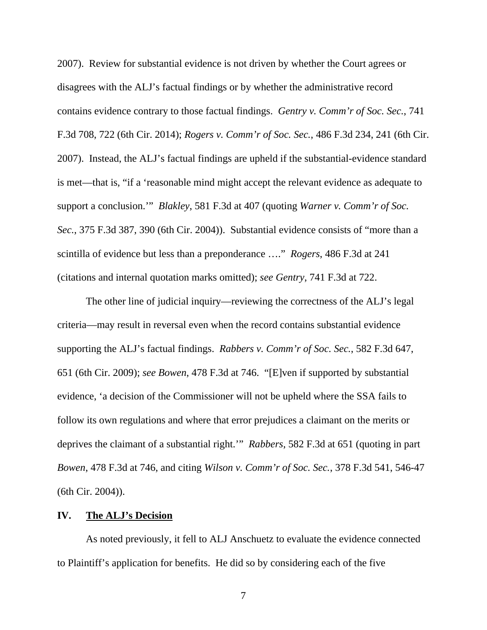2007). Review for substantial evidence is not driven by whether the Court agrees or disagrees with the ALJ's factual findings or by whether the administrative record contains evidence contrary to those factual findings. *Gentry v. Comm'r of Soc. Sec.*, 741 F.3d 708, 722 (6th Cir. 2014); *Rogers v. Comm'r of Soc. Sec.*, 486 F.3d 234, 241 (6th Cir. 2007). Instead, the ALJ's factual findings are upheld if the substantial-evidence standard is met—that is, "if a 'reasonable mind might accept the relevant evidence as adequate to support a conclusion.'" *Blakley*, 581 F.3d at 407 (quoting *Warner v. Comm'r of Soc. Sec.*, 375 F.3d 387, 390 (6th Cir. 2004)). Substantial evidence consists of "more than a scintilla of evidence but less than a preponderance …." *Rogers*, 486 F.3d at 241 (citations and internal quotation marks omitted); *see Gentry*, 741 F.3d at 722.

The other line of judicial inquiry—reviewing the correctness of the ALJ's legal criteria—may result in reversal even when the record contains substantial evidence supporting the ALJ's factual findings. *Rabbers v. Comm'r of Soc. Sec.*, 582 F.3d 647, 651 (6th Cir. 2009); *see Bowen*, 478 F.3d at 746. "[E]ven if supported by substantial evidence, 'a decision of the Commissioner will not be upheld where the SSA fails to follow its own regulations and where that error prejudices a claimant on the merits or deprives the claimant of a substantial right.'" *Rabbers*, 582 F.3d at 651 (quoting in part *Bowen*, 478 F.3d at 746, and citing *Wilson v. Comm'r of Soc. Sec.*, 378 F.3d 541, 546-47 (6th Cir. 2004)).

### **IV. The ALJ's Decision**

 As noted previously, it fell to ALJ Anschuetz to evaluate the evidence connected to Plaintiff's application for benefits. He did so by considering each of the five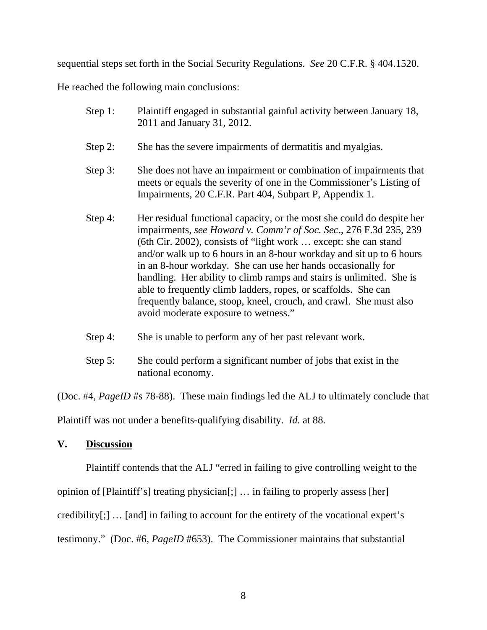sequential steps set forth in the Social Security Regulations. *See* 20 C.F.R. § 404.1520.

He reached the following main conclusions:

| Step 1: | Plaintiff engaged in substantial gainful activity between January 18, |
|---------|-----------------------------------------------------------------------|
|         | 2011 and January 31, 2012.                                            |

- Step 2: She has the severe impairments of dermatitis and myalgias.
- Step 3: She does not have an impairment or combination of impairments that meets or equals the severity of one in the Commissioner's Listing of Impairments, 20 C.F.R. Part 404, Subpart P, Appendix 1.
- Step 4: Her residual functional capacity, or the most she could do despite her impairments, *see Howard v. Comm'r of Soc. Sec*., 276 F.3d 235, 239 (6th Cir. 2002), consists of "light work … except: she can stand and/or walk up to 6 hours in an 8-hour workday and sit up to 6 hours in an 8-hour workday. She can use her hands occasionally for handling. Her ability to climb ramps and stairs is unlimited. She is able to frequently climb ladders, ropes, or scaffolds. She can frequently balance, stoop, kneel, crouch, and crawl. She must also avoid moderate exposure to wetness."
- Step 4: She is unable to perform any of her past relevant work.
- Step 5: She could perform a significant number of jobs that exist in the national economy.

(Doc. #4, *PageID* #s 78-88). These main findings led the ALJ to ultimately conclude that

Plaintiff was not under a benefits-qualifying disability. *Id.* at 88.

# **V. Discussion**

Plaintiff contends that the ALJ "erred in failing to give controlling weight to the

opinion of [Plaintiff's] treating physician[;] … in failing to properly assess [her]

credibility[;] … [and] in failing to account for the entirety of the vocational expert's

testimony." (Doc. #6, *PageID* #653). The Commissioner maintains that substantial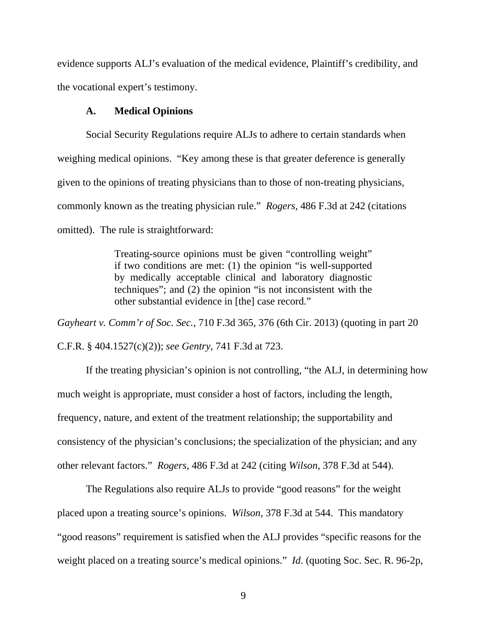evidence supports ALJ's evaluation of the medical evidence, Plaintiff's credibility, and the vocational expert's testimony.

## **A. Medical Opinions**

Social Security Regulations require ALJs to adhere to certain standards when weighing medical opinions. "Key among these is that greater deference is generally given to the opinions of treating physicians than to those of non-treating physicians, commonly known as the treating physician rule." *Rogers,* 486 F.3d at 242 (citations omitted). The rule is straightforward:

> Treating-source opinions must be given "controlling weight" if two conditions are met: (1) the opinion "is well-supported by medically acceptable clinical and laboratory diagnostic techniques"; and  $(2)$  the opinion "is not inconsistent with the other substantial evidence in [the] case record."

*Gayheart v. Comm'r of Soc. Sec.*, 710 F.3d 365, 376 (6th Cir. 2013) (quoting in part 20 C.F.R. § 404.1527(c)(2)); *see Gentry*, 741 F.3d at 723.

If the treating physician's opinion is not controlling, "the ALJ, in determining how much weight is appropriate, must consider a host of factors, including the length, frequency, nature, and extent of the treatment relationship; the supportability and consistency of the physician's conclusions; the specialization of the physician; and any other relevant factors." *Rogers*, 486 F.3d at 242 (citing *Wilson*, 378 F.3d at 544).

 The Regulations also require ALJs to provide "good reasons" for the weight placed upon a treating source's opinions. *Wilson*, 378 F.3d at 544. This mandatory "good reasons" requirement is satisfied when the ALJ provides "specific reasons for the weight placed on a treating source's medical opinions." *Id*. (quoting Soc. Sec. R. 96-2p,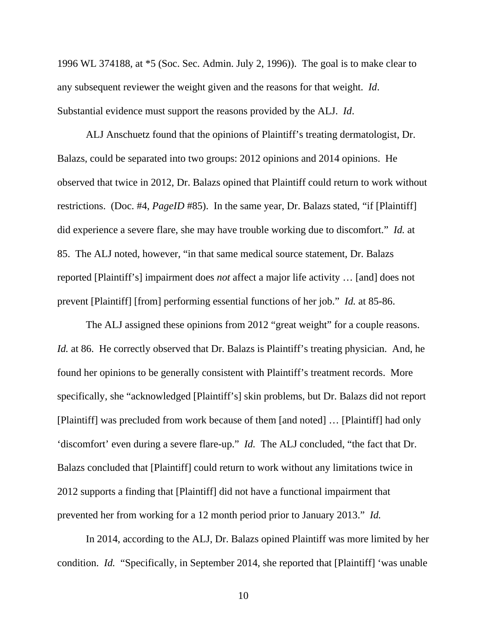1996 WL 374188, at \*5 (Soc. Sec. Admin. July 2, 1996)). The goal is to make clear to any subsequent reviewer the weight given and the reasons for that weight. *Id*. Substantial evidence must support the reasons provided by the ALJ. *Id*.

ALJ Anschuetz found that the opinions of Plaintiff's treating dermatologist, Dr. Balazs, could be separated into two groups: 2012 opinions and 2014 opinions. He observed that twice in 2012, Dr. Balazs opined that Plaintiff could return to work without restrictions. (Doc. #4, *PageID* #85). In the same year, Dr. Balazs stated, "if [Plaintiff] did experience a severe flare, she may have trouble working due to discomfort." *Id.* at 85. The ALJ noted, however, "in that same medical source statement, Dr. Balazs reported [Plaintiff's] impairment does *not* affect a major life activity … [and] does not prevent [Plaintiff] [from] performing essential functions of her job." *Id.* at 85-86.

The ALJ assigned these opinions from 2012 "great weight" for a couple reasons. *Id.* at 86. He correctly observed that Dr. Balazs is Plaintiff's treating physician. And, he found her opinions to be generally consistent with Plaintiff's treatment records. More specifically, she "acknowledged [Plaintiff's] skin problems, but Dr. Balazs did not report [Plaintiff] was precluded from work because of them [and noted] … [Plaintiff] had only 'discomfort' even during a severe flare-up." *Id.* The ALJ concluded, "the fact that Dr. Balazs concluded that [Plaintiff] could return to work without any limitations twice in 2012 supports a finding that [Plaintiff] did not have a functional impairment that prevented her from working for a 12 month period prior to January 2013." *Id.*

 In 2014, according to the ALJ, Dr. Balazs opined Plaintiff was more limited by her condition. *Id.* "Specifically, in September 2014, she reported that [Plaintiff] 'was unable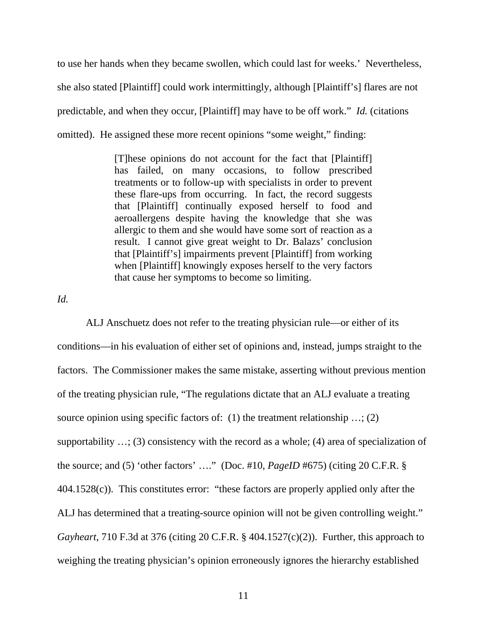to use her hands when they became swollen, which could last for weeks.' Nevertheless, she also stated [Plaintiff] could work intermittingly, although [Plaintiff's] flares are not predictable, and when they occur, [Plaintiff] may have to be off work." *Id.* (citations omitted). He assigned these more recent opinions "some weight," finding:

> [T]hese opinions do not account for the fact that [Plaintiff] has failed, on many occasions, to follow prescribed treatments or to follow-up with specialists in order to prevent these flare-ups from occurring. In fact, the record suggests that [Plaintiff] continually exposed herself to food and aeroallergens despite having the knowledge that she was allergic to them and she would have some sort of reaction as a result. I cannot give great weight to Dr. Balazs' conclusion that [Plaintiff's] impairments prevent [Plaintiff] from working when [Plaintiff] knowingly exposes herself to the very factors that cause her symptoms to become so limiting.

*Id.* 

ALJ Anschuetz does not refer to the treating physician rule—or either of its conditions—in his evaluation of either set of opinions and, instead, jumps straight to the factors. The Commissioner makes the same mistake, asserting without previous mention of the treating physician rule, "The regulations dictate that an ALJ evaluate a treating source opinion using specific factors of: (1) the treatment relationship  $\ldots$ ; (2) supportability …; (3) consistency with the record as a whole; (4) area of specialization of the source; and (5) 'other factors' …." (Doc. #10, *PageID* #675) (citing 20 C.F.R. § 404.1528(c)). This constitutes error: "these factors are properly applied only after the ALJ has determined that a treating-source opinion will not be given controlling weight." *Gayheart*, 710 F.3d at 376 (citing 20 C.F.R. § 404.1527(c)(2)). Further, this approach to weighing the treating physician's opinion erroneously ignores the hierarchy established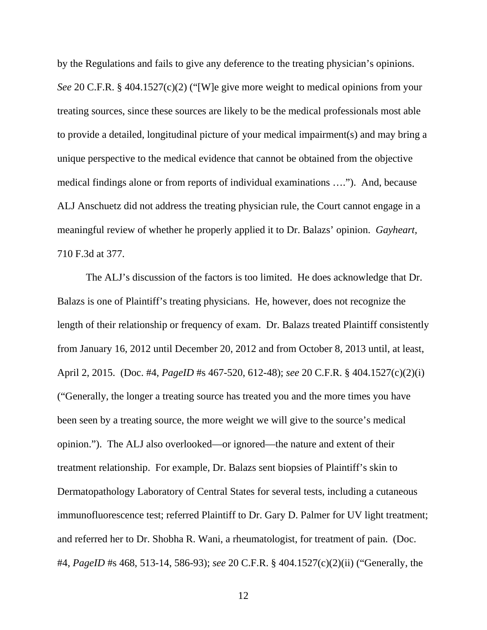by the Regulations and fails to give any deference to the treating physician's opinions. *See* 20 C.F.R. § 404.1527(c)(2) ("[W]e give more weight to medical opinions from your treating sources, since these sources are likely to be the medical professionals most able to provide a detailed, longitudinal picture of your medical impairment(s) and may bring a unique perspective to the medical evidence that cannot be obtained from the objective medical findings alone or from reports of individual examinations …."). And, because ALJ Anschuetz did not address the treating physician rule, the Court cannot engage in a meaningful review of whether he properly applied it to Dr. Balazs' opinion. *Gayheart,*  710 F.3d at 377.

The ALJ's discussion of the factors is too limited. He does acknowledge that Dr. Balazs is one of Plaintiff's treating physicians. He, however, does not recognize the length of their relationship or frequency of exam. Dr. Balazs treated Plaintiff consistently from January 16, 2012 until December 20, 2012 and from October 8, 2013 until, at least, April 2, 2015. (Doc. #4, *PageID* #s 467-520, 612-48); *see* 20 C.F.R. § 404.1527(c)(2)(i) ("Generally, the longer a treating source has treated you and the more times you have been seen by a treating source, the more weight we will give to the source's medical opinion."). The ALJ also overlooked—or ignored—the nature and extent of their treatment relationship. For example, Dr. Balazs sent biopsies of Plaintiff's skin to Dermatopathology Laboratory of Central States for several tests, including a cutaneous immunofluorescence test; referred Plaintiff to Dr. Gary D. Palmer for UV light treatment; and referred her to Dr. Shobha R. Wani, a rheumatologist, for treatment of pain. (Doc. #4, *PageID* #s 468, 513-14, 586-93); *see* 20 C.F.R. § 404.1527(c)(2)(ii) ("Generally, the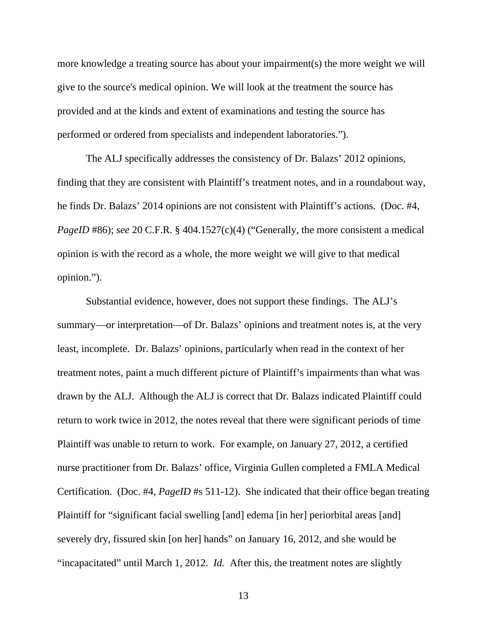more knowledge a treating source has about your impairment(s) the more weight we will give to the source's medical opinion. We will look at the treatment the source has provided and at the kinds and extent of examinations and testing the source has performed or ordered from specialists and independent laboratories.").

The ALJ specifically addresses the consistency of Dr. Balazs' 2012 opinions, finding that they are consistent with Plaintiff's treatment notes, and in a roundabout way, he finds Dr. Balazs' 2014 opinions are not consistent with Plaintiff's actions. (Doc. #4, *PageID* #86); *see* 20 C.F.R. § 404.1527(c)(4) ("Generally, the more consistent a medical opinion is with the record as a whole, the more weight we will give to that medical opinion.").

Substantial evidence, however, does not support these findings. The ALJ's summary—or interpretation—of Dr. Balazs' opinions and treatment notes is, at the very least, incomplete. Dr. Balazs' opinions, particularly when read in the context of her treatment notes, paint a much different picture of Plaintiff's impairments than what was drawn by the ALJ. Although the ALJ is correct that Dr. Balazs indicated Plaintiff could return to work twice in 2012, the notes reveal that there were significant periods of time Plaintiff was unable to return to work. For example, on January 27, 2012, a certified nurse practitioner from Dr. Balazs' office, Virginia Gullen completed a FMLA Medical Certification. (Doc. #4, *PageID* #s 511-12). She indicated that their office began treating Plaintiff for "significant facial swelling [and] edema [in her] periorbital areas [and] severely dry, fissured skin [on her] hands" on January 16, 2012, and she would be "incapacitated" until March 1, 2012. *Id.* After this, the treatment notes are slightly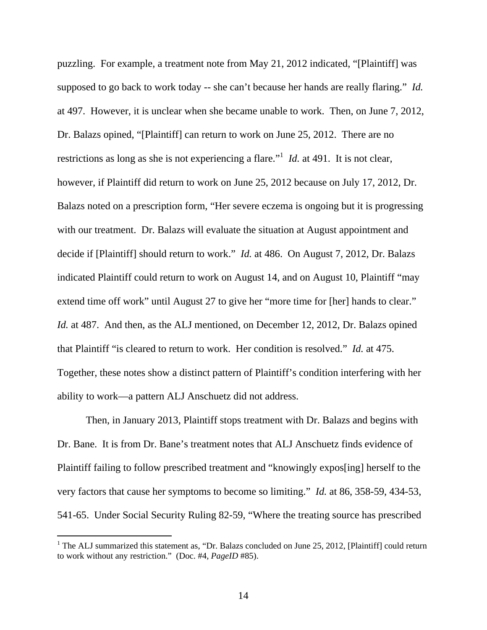puzzling. For example, a treatment note from May 21, 2012 indicated, "[Plaintiff] was supposed to go back to work today -- she can't because her hands are really flaring." *Id.* at 497. However, it is unclear when she became unable to work. Then, on June 7, 2012, Dr. Balazs opined, "[Plaintiff] can return to work on June 25, 2012. There are no restrictions as long as she is not experiencing a flare."<sup>1</sup> *Id.* at 491. It is not clear, however, if Plaintiff did return to work on June 25, 2012 because on July 17, 2012, Dr. Balazs noted on a prescription form, "Her severe eczema is ongoing but it is progressing with our treatment. Dr. Balazs will evaluate the situation at August appointment and decide if [Plaintiff] should return to work." *Id.* at 486. On August 7, 2012, Dr. Balazs indicated Plaintiff could return to work on August 14, and on August 10, Plaintiff "may extend time off work" until August 27 to give her "more time for [her] hands to clear." *Id.* at 487. And then, as the ALJ mentioned, on December 12, 2012, Dr. Balazs opined that Plaintiff "is cleared to return to work. Her condition is resolved." *Id.* at 475. Together, these notes show a distinct pattern of Plaintiff's condition interfering with her ability to work—a pattern ALJ Anschuetz did not address.

Then, in January 2013, Plaintiff stops treatment with Dr. Balazs and begins with Dr. Bane. It is from Dr. Bane's treatment notes that ALJ Anschuetz finds evidence of Plaintiff failing to follow prescribed treatment and "knowingly expos[ing] herself to the very factors that cause her symptoms to become so limiting." *Id.* at 86, 358-59, 434-53, 541-65. Under Social Security Ruling 82-59, "Where the treating source has prescribed

 $\overline{a}$ 

<sup>&</sup>lt;sup>1</sup> The ALJ summarized this statement as, "Dr. Balazs concluded on June 25, 2012, [Plaintiff] could return to work without any restriction." (Doc. #4, *PageID* #85).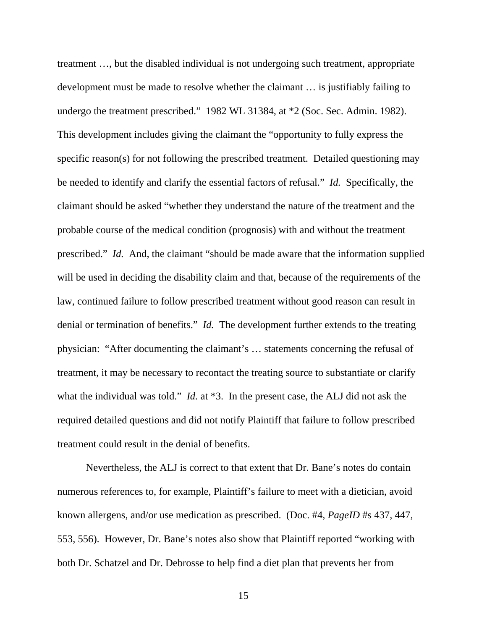treatment …, but the disabled individual is not undergoing such treatment, appropriate development must be made to resolve whether the claimant … is justifiably failing to undergo the treatment prescribed." 1982 WL 31384, at \*2 (Soc. Sec. Admin. 1982). This development includes giving the claimant the "opportunity to fully express the specific reason(s) for not following the prescribed treatment. Detailed questioning may be needed to identify and clarify the essential factors of refusal." *Id.* Specifically, the claimant should be asked "whether they understand the nature of the treatment and the probable course of the medical condition (prognosis) with and without the treatment prescribed." *Id.* And, the claimant "should be made aware that the information supplied will be used in deciding the disability claim and that, because of the requirements of the law, continued failure to follow prescribed treatment without good reason can result in denial or termination of benefits." *Id.* The development further extends to the treating physician: "After documenting the claimant's … statements concerning the refusal of treatment, it may be necessary to recontact the treating source to substantiate or clarify what the individual was told." *Id.* at \*3. In the present case, the ALJ did not ask the required detailed questions and did not notify Plaintiff that failure to follow prescribed treatment could result in the denial of benefits.

Nevertheless, the ALJ is correct to that extent that Dr. Bane's notes do contain numerous references to, for example, Plaintiff's failure to meet with a dietician, avoid known allergens, and/or use medication as prescribed. (Doc. #4, *PageID* #s 437, 447, 553, 556). However, Dr. Bane's notes also show that Plaintiff reported "working with both Dr. Schatzel and Dr. Debrosse to help find a diet plan that prevents her from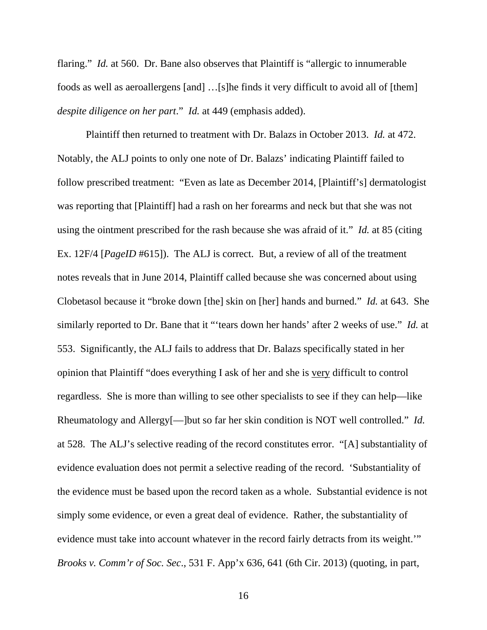flaring." *Id.* at 560. Dr. Bane also observes that Plaintiff is "allergic to innumerable foods as well as aeroallergens [and] …[s]he finds it very difficult to avoid all of [them] *despite diligence on her part*." *Id.* at 449 (emphasis added).

Plaintiff then returned to treatment with Dr. Balazs in October 2013. *Id.* at 472. Notably, the ALJ points to only one note of Dr. Balazs' indicating Plaintiff failed to follow prescribed treatment: "Even as late as December 2014, [Plaintiff's] dermatologist was reporting that [Plaintiff] had a rash on her forearms and neck but that she was not using the ointment prescribed for the rash because she was afraid of it." *Id.* at 85 (citing Ex. 12F/4 [*PageID* #615]). The ALJ is correct. But, a review of all of the treatment notes reveals that in June 2014, Plaintiff called because she was concerned about using Clobetasol because it "broke down [the] skin on [her] hands and burned." *Id.* at 643. She similarly reported to Dr. Bane that it "'tears down her hands' after 2 weeks of use." *Id.* at 553. Significantly, the ALJ fails to address that Dr. Balazs specifically stated in her opinion that Plaintiff "does everything I ask of her and she is very difficult to control regardless. She is more than willing to see other specialists to see if they can help—like Rheumatology and Allergy[—]but so far her skin condition is NOT well controlled." *Id.* at 528. The ALJ's selective reading of the record constitutes error. "[A] substantiality of evidence evaluation does not permit a selective reading of the record. 'Substantiality of the evidence must be based upon the record taken as a whole. Substantial evidence is not simply some evidence, or even a great deal of evidence. Rather, the substantiality of evidence must take into account whatever in the record fairly detracts from its weight.'" *Brooks v. Comm'r of Soc. Sec*., 531 F. App'x 636, 641 (6th Cir. 2013) (quoting, in part,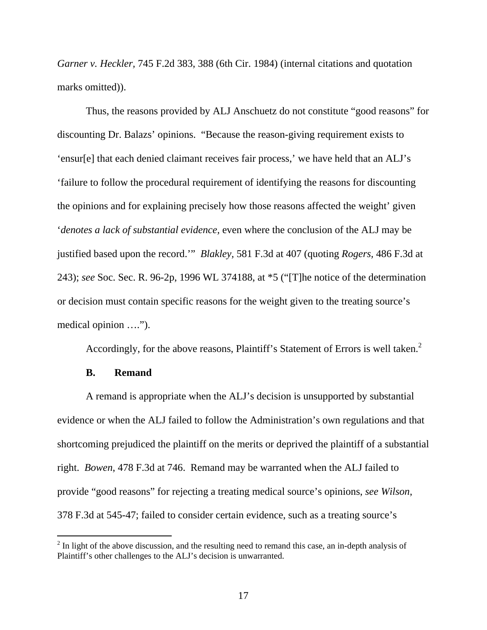*Garner v. Heckler,* 745 F.2d 383, 388 (6th Cir. 1984) (internal citations and quotation marks omitted)).

Thus, the reasons provided by ALJ Anschuetz do not constitute "good reasons" for discounting Dr. Balazs' opinions. "Because the reason-giving requirement exists to 'ensur[e] that each denied claimant receives fair process,' we have held that an ALJ's 'failure to follow the procedural requirement of identifying the reasons for discounting the opinions and for explaining precisely how those reasons affected the weight' given '*denotes a lack of substantial evidence,* even where the conclusion of the ALJ may be justified based upon the record.'" *Blakley,* 581 F.3d at 407 (quoting *Rogers,* 486 F.3d at 243); *see* Soc. Sec. R. 96-2p, 1996 WL 374188, at \*5 ("[T]he notice of the determination or decision must contain specific reasons for the weight given to the treating source's medical opinion ….").

Accordingly, for the above reasons, Plaintiff's Statement of Errors is well taken.<sup>2</sup>

## **B. Remand**

A remand is appropriate when the ALJ's decision is unsupported by substantial evidence or when the ALJ failed to follow the Administration's own regulations and that shortcoming prejudiced the plaintiff on the merits or deprived the plaintiff of a substantial right. *Bowen*, 478 F.3d at 746. Remand may be warranted when the ALJ failed to provide "good reasons" for rejecting a treating medical source's opinions, *see Wilson*, 378 F.3d at 545-47; failed to consider certain evidence, such as a treating source's

 $2^{2}$  In light of the above discussion, and the resulting need to remand this case, an in-depth analysis of Plaintiff's other challenges to the ALJ's decision is unwarranted.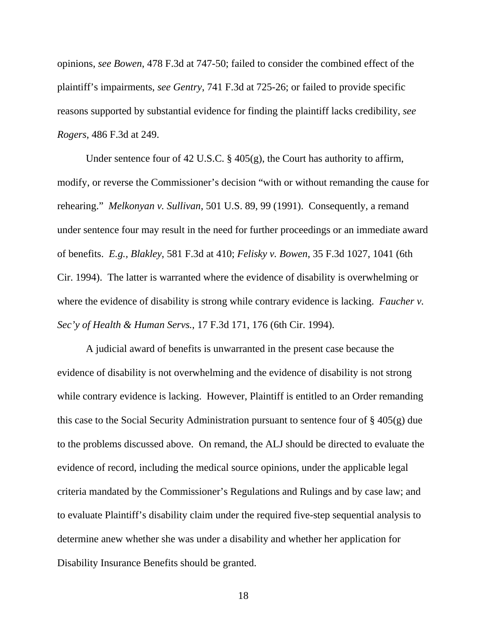opinions, *see Bowen*, 478 F.3d at 747-50; failed to consider the combined effect of the plaintiff's impairments, *see Gentry*, 741 F.3d at 725-26; or failed to provide specific reasons supported by substantial evidence for finding the plaintiff lacks credibility, *see Rogers*, 486 F.3d at 249.

Under sentence four of 42 U.S.C. § 405(g), the Court has authority to affirm, modify, or reverse the Commissioner's decision "with or without remanding the cause for rehearing." *Melkonyan v. Sullivan*, 501 U.S. 89, 99 (1991). Consequently, a remand under sentence four may result in the need for further proceedings or an immediate award of benefits. *E.g., Blakley*, 581 F.3d at 410; *Felisky v. Bowen*, 35 F.3d 1027, 1041 (6th Cir. 1994). The latter is warranted where the evidence of disability is overwhelming or where the evidence of disability is strong while contrary evidence is lacking. *Faucher v. Sec'y of Health & Human Servs.*, 17 F.3d 171, 176 (6th Cir. 1994).

A judicial award of benefits is unwarranted in the present case because the evidence of disability is not overwhelming and the evidence of disability is not strong while contrary evidence is lacking. However, Plaintiff is entitled to an Order remanding this case to the Social Security Administration pursuant to sentence four of § 405(g) due to the problems discussed above. On remand, the ALJ should be directed to evaluate the evidence of record, including the medical source opinions, under the applicable legal criteria mandated by the Commissioner's Regulations and Rulings and by case law; and to evaluate Plaintiff's disability claim under the required five-step sequential analysis to determine anew whether she was under a disability and whether her application for Disability Insurance Benefits should be granted.